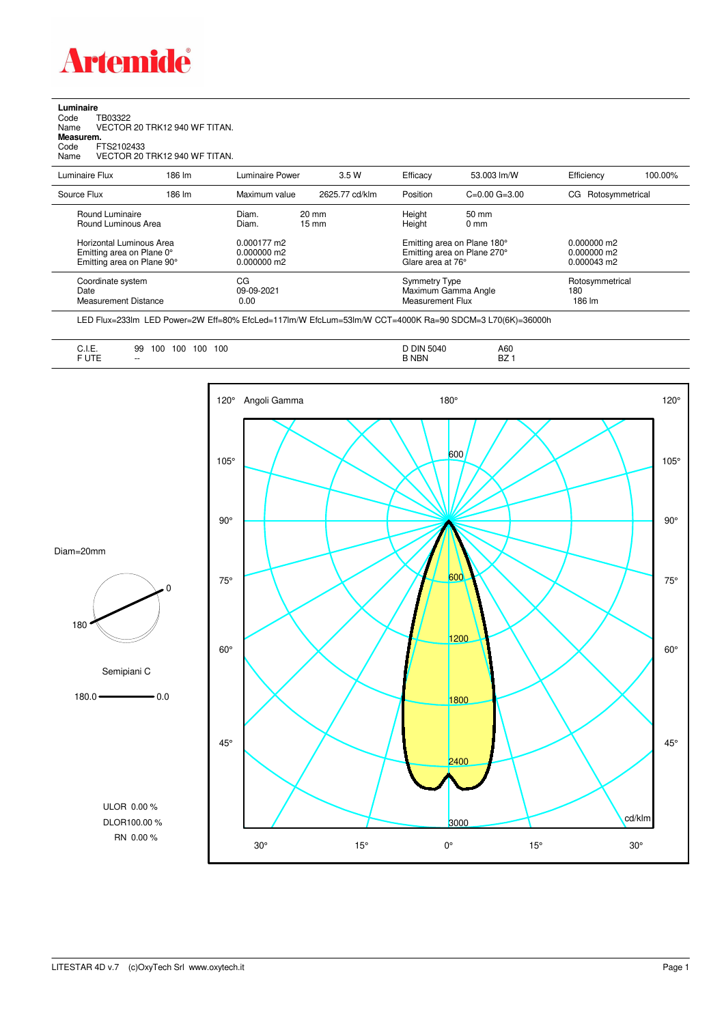

## **Luminaire**<br>Code T<br>Name \ Code TB03322 Name VECTOR 20 TRK12 940 WF TITAN. **Measurem.** Code FTS2102433 Name VECTOR 20 TRK12 940 WF TITAN.

| Luminaire Flux                                                                                                                | 186 lm | Luminaire Power                                                           | 3.5 W                              | Efficacy                              | 53.003 lm/W                                                                                     | Efficiency                                      | 100.00% |
|-------------------------------------------------------------------------------------------------------------------------------|--------|---------------------------------------------------------------------------|------------------------------------|---------------------------------------|-------------------------------------------------------------------------------------------------|-------------------------------------------------|---------|
| Source Flux                                                                                                                   | 186 lm | Maximum value                                                             | 2625.77 cd/klm                     | Position                              | $C=0.00$ $G=3.00$                                                                               | Rotosymmetrical<br>CG                           |         |
| Round Luminaire<br>Round Luminous Area<br>Horizontal Luminous Area<br>Emitting area on Plane 0°<br>Emitting area on Plane 90° |        | Diam.<br>Diam.<br>$0.000177 \text{ m}2$<br>$0.000000$ m2<br>$0.000000$ m2 | $20 \text{ mm}$<br>$15 \text{ mm}$ | Height<br>Height<br>Glare area at 76° | $50 \text{ mm}$<br>$0 \text{ mm}$<br>Emitting area on Plane 180°<br>Emitting area on Plane 270° | $0.000000$ m2<br>$0.000000$ m2<br>$0.000043$ m2 |         |
| CG<br>Coordinate system<br>Date<br><b>Measurement Distance</b>                                                                |        | 09-09-2021<br>0.00                                                        |                                    | Symmetry Type<br>Measurement Flux     | Maximum Gamma Angle                                                                             | Rotosymmetrical<br>180<br>186 lm                |         |

LED Flux=233lm LED Power=2W Eff=80% EfcLed=117lm/W EfcLum=53lm/W CCT=4000K Ra=90 SDCM=3 L70(6K)=36000h